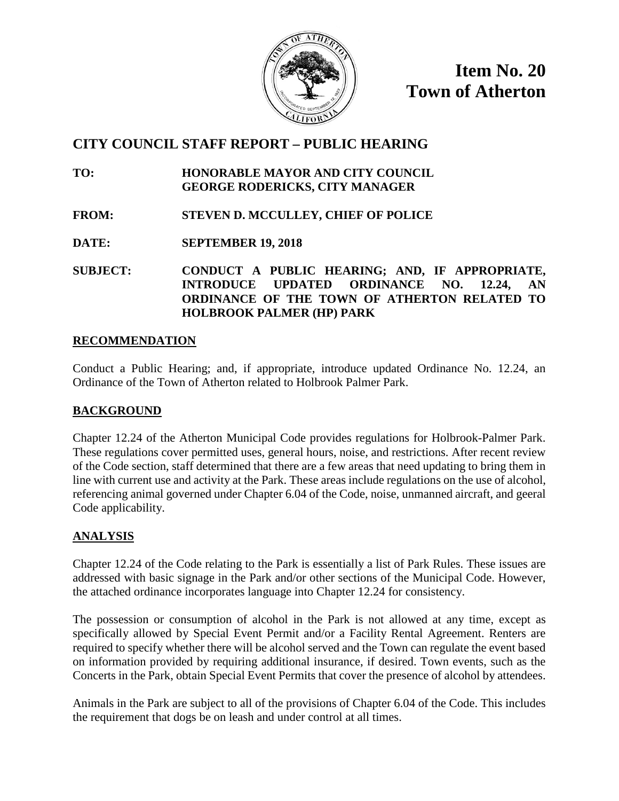

**Item No. 20 Town of Atherton**

# **CITY COUNCIL STAFF REPORT – PUBLIC HEARING**

**TO: HONORABLE MAYOR AND CITY COUNCIL GEORGE RODERICKS, CITY MANAGER**

- **FROM: STEVEN D. MCCULLEY, CHIEF OF POLICE**
- **DATE: SEPTEMBER 19, 2018**

**SUBJECT: CONDUCT A PUBLIC HEARING; AND, IF APPROPRIATE, INTRODUCE UPDATED ORDINANCE NO. 12.24, AN ORDINANCE OF THE TOWN OF ATHERTON RELATED TO HOLBROOK PALMER (HP) PARK**

## **RECOMMENDATION**

Conduct a Public Hearing; and, if appropriate, introduce updated Ordinance No. 12.24, an Ordinance of the Town of Atherton related to Holbrook Palmer Park.

## **BACKGROUND**

Chapter 12.24 of the Atherton Municipal Code provides regulations for Holbrook-Palmer Park. These regulations cover permitted uses, general hours, noise, and restrictions. After recent review of the Code section, staff determined that there are a few areas that need updating to bring them in line with current use and activity at the Park. These areas include regulations on the use of alcohol, referencing animal governed under Chapter 6.04 of the Code, noise, unmanned aircraft, and geeral Code applicability.

## **ANALYSIS**

Chapter 12.24 of the Code relating to the Park is essentially a list of Park Rules. These issues are addressed with basic signage in the Park and/or other sections of the Municipal Code. However, the attached ordinance incorporates language into Chapter 12.24 for consistency.

The possession or consumption of alcohol in the Park is not allowed at any time, except as specifically allowed by Special Event Permit and/or a Facility Rental Agreement. Renters are required to specify whether there will be alcohol served and the Town can regulate the event based on information provided by requiring additional insurance, if desired. Town events, such as the Concerts in the Park, obtain Special Event Permits that cover the presence of alcohol by attendees.

Animals in the Park are subject to all of the provisions of Chapter 6.04 of the Code. This includes the requirement that dogs be on leash and under control at all times.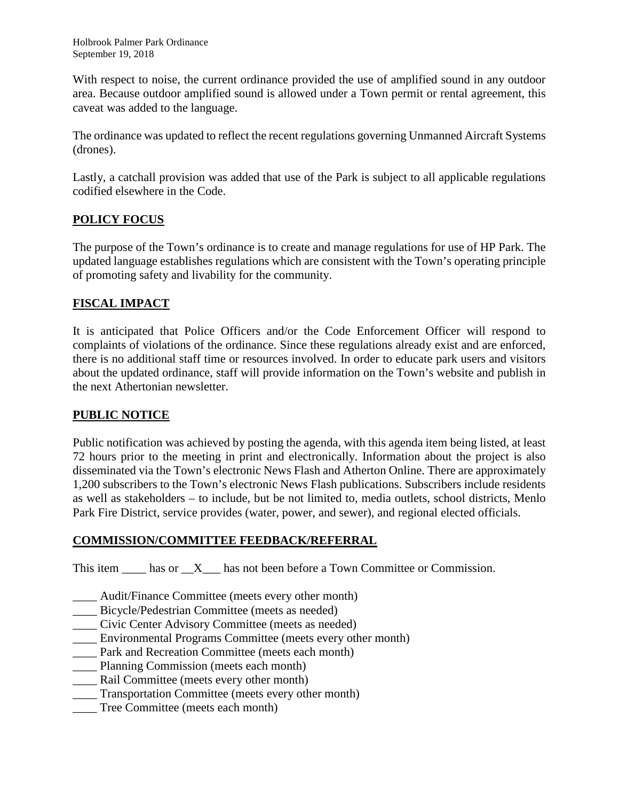With respect to noise, the current ordinance provided the use of amplified sound in any outdoor area. Because outdoor amplified sound is allowed under a Town permit or rental agreement, this caveat was added to the language.

The ordinance was updated to reflect the recent regulations governing Unmanned Aircraft Systems (drones).

Lastly, a catchall provision was added that use of the Park is subject to all applicable regulations codified elsewhere in the Code.

## **POLICY FOCUS**

The purpose of the Town's ordinance is to create and manage regulations for use of HP Park. The updated language establishes regulations which are consistent with the Town's operating principle of promoting safety and livability for the community.

## **FISCAL IMPACT**

It is anticipated that Police Officers and/or the Code Enforcement Officer will respond to complaints of violations of the ordinance. Since these regulations already exist and are enforced, there is no additional staff time or resources involved. In order to educate park users and visitors about the updated ordinance, staff will provide information on the Town's website and publish in the next Athertonian newsletter.

## **PUBLIC NOTICE**

Public notification was achieved by posting the agenda, with this agenda item being listed, at least 72 hours prior to the meeting in print and electronically. Information about the project is also disseminated via the Town's electronic News Flash and Atherton Online. There are approximately 1,200 subscribers to the Town's electronic News Flash publications. Subscribers include residents as well as stakeholders – to include, but be not limited to, media outlets, school districts, Menlo Park Fire District, service provides (water, power, and sewer), and regional elected officials.

### **COMMISSION/COMMITTEE FEEDBACK/REFERRAL**

This item  $\_\_\_\$ has or  $\_\_X\_\_\_\$ has not been before a Town Committee or Commission.

- \_\_\_\_ Audit/Finance Committee (meets every other month)
- \_\_\_\_ Bicycle/Pedestrian Committee (meets as needed)
- \_\_\_\_ Civic Center Advisory Committee (meets as needed)
- \_\_\_\_ Environmental Programs Committee (meets every other month)
- Park and Recreation Committee (meets each month)
- \_\_\_\_ Planning Commission (meets each month)
- Rail Committee (meets every other month)
- \_\_\_\_ Transportation Committee (meets every other month)
- Tree Committee (meets each month)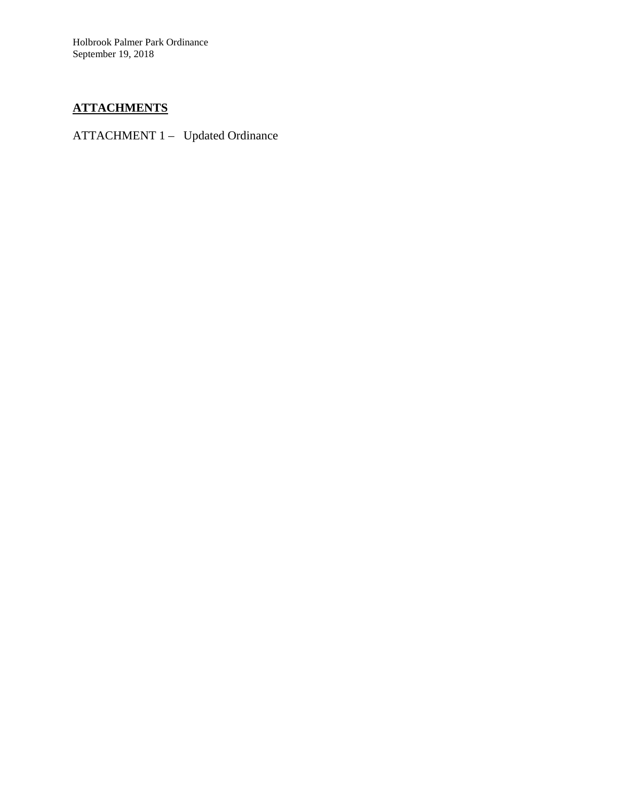Holbrook Palmer Park Ordinance September 19, 2018

# **ATTACHMENTS**

ATTACHMENT 1 – Updated Ordinance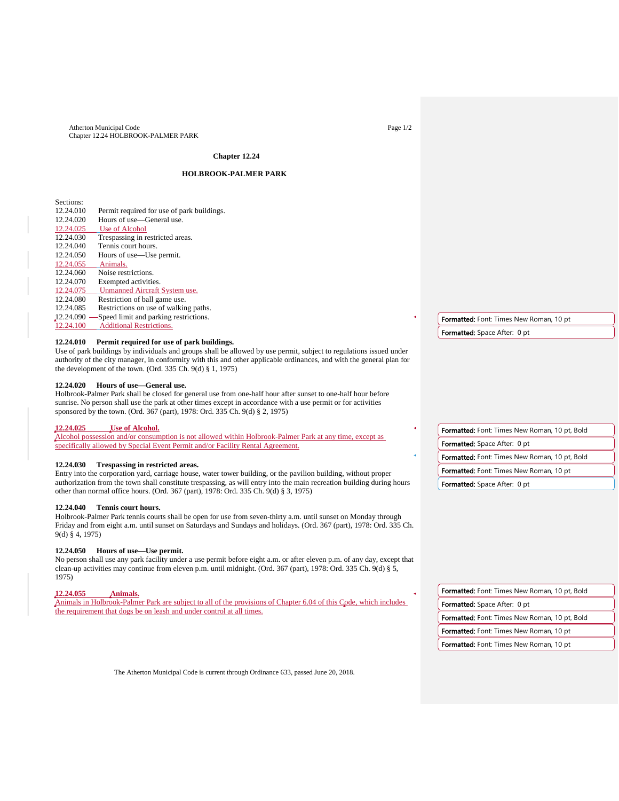Atherton Municipal Code Chapter 12.24 HOLBROOK-PALMER PARK Page 1/2

### **Chapter 12.24**

### **HOLBROOK-PALMER PARK**

Sections:<br>12.24.010 Permit required for use of park buildings. 12.24.020 Hours of use—General use.<br>12.24.025 Use of Alcohol  $\frac{12.24.025}{12.24.030}$  Use of Alcohol 12.24.030 Trespassing in restricted areas.<br>12.24.040 Tennis court hours. Tennis court hours. 12.24.050 Hours of use—Use permit. 12.24.055 Animals.<br>12.24.060 Noise rest 12.24.060 Noise restrictions.<br>12.24.070 Exempted activities Exempted activities. 12.24.075 Unmanned Aircraft System use.<br>12.24.080 Restriction of ball game use. 12.24.080 Restriction of ball game use.<br>12.24.085 Restrictions on use of walkin Restrictions on use of walking paths. 12.24.090 -Speed limit and parking restrictions. 24.100 Additional Restrictions. Formatted: Font: Times New Roman, 10 pt

#### **12.24.010 Permit required for use of park buildings.**

Use of park buildings by individuals and groups shall be allowed by use permit, subject to regulations issued under authority of the city manager, in conformity with this and other applicable ordinances, and with the general plan for the development of the town. (Ord. 335 Ch. 9(d) § 1, 1975)

#### **12.24.020 Hours of use—General use.**

Holbrook-Palmer Park shall be closed for general use from one-half hour after sunset to one-half hour before sunrise. No person shall use the park at other times except in accordance with a use permit or for activities sponsored by the town. (Ord. 367 (part), 1978: Ord. 335 Ch. 9(d) § 2, 1975)

### **12.24.025 Use of Alcohol.**

Alcohol possession and/or consumption is not allowed within Holbrook-Palmer Park at any time, except as specifically allowed by Special Event Permit and/or Facility Rental Agreement.

#### **12.24.030 Trespassing in restricted areas.**

Entry into the corporation yard, carriage house, water tower building, or the pavilion building, without proper authorization from the town shall constitute trespassing, as will entry into the main recreation building during hours other than normal office hours. (Ord. 367 (part), 1978: Ord. 335 Ch. 9(d) § 3, 1975)

#### **12.24.040 Tennis court hours.**

Holbrook-Palmer Park tennis courts shall be open for use from seven-thirty a.m. until sunset on Monday through Friday and from eight a.m. until sunset on Saturdays and Sundays and holidays. (Ord. 367 (part), 1978: Ord. 335 Ch. 9(d) § 4, 1975)

#### **12.24.050 Hours of use—Use permit.**

No person shall use any park facility under a use permit before eight a.m. or after eleven p.m. of any day, except that clean-up activities may continue from eleven p.m. until midnight. (Ord. 367 (part), 1978: Ord. 335 Ch. 9(d) § 5, 1975)

### **12.24.055 Animals.**

Animals in Holbrook-Palmer Park are subject to all of the provisions of Chapter 6.04 of this Code, which includes the requirement that dogs be on leash and under control at all times.

Formatted: Space After: 0 pt

Formatted: Font: Times New Roman, 10 pt, Bold Formatted: Space After: 0 pt Formatted: Font: Times New Roman, 10 pt, Bold Formatted: Font: Times New Roman, 10 pt

Formatted: Space After: 0 pt

Formatted: Font: Times New Roman, 10 pt, Bold Formatted: Space After: 0 pt Formatted: Font: Times New Roman, 10 pt, Bold Formatted: Font: Times New Roman, 10 pt Formatted: Font: Times New Roman, 10 pt

The Atherton Municipal Code is current through Ordinance 633, passed June 20, 2018.